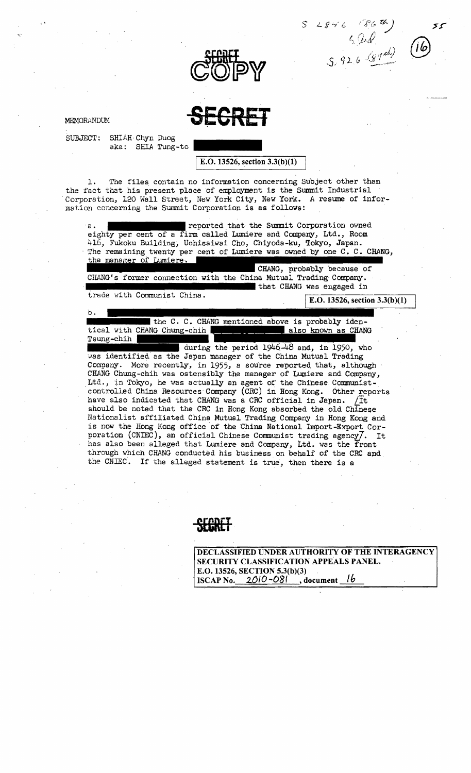

MEMORANDUM SEGRET

SUBJECT: SHIAH Chyn Duog aka: SHIA Tung-to

E.O. 13526, section  $3.3(b)(1)$ 

@

1. The files contain no information concerning Subject other than the fact that his present place of employment is the Summit Industrial Corporation, 120 Wall Street, New York City, New York. *A* resume of information concerning the Summit Corporation is as follows:

reported that the Summit Corporation owned  $a \cdot$ eighty per cent of a firm called Lumiere and Company, Ltd., Room 416, Fukoku Building, Uchisaiwai Cho, Chiyoda-ku, Tokyo, Japan. The remaining twenty per cent of Lumiere was owned by one C. C. CHANG, the manager of Lumiere. CHANG, probably because of CHANG's former connection with the China Mutual Trading Company. """""""""""""""""111 trade w'ith Communist China. that CHANG *was* engaged in  $b.$ the C. C. CHANG mentioned above is probably identical with CHANG Chung-chih also known as CHANG Tsung-chih during the period  $1946-48$  and, in 1950, who was identified as the Japan manager of the China Mutual Trading Company. More recently, in 1955, a source reported that, although CHANG Chung-chih was ostensibly the manager of Lumiere and Company, Ltd., in Tokyo, he was actually an agent of the Chinese Communist-'controlled China Resources Company (CRC) in Hong Kong. Other reports have also indicated that CHANG *was* a CRC official in Japan. LIt should be noted that the CRC in Hong Kong absorbed the old Chinese Nationalist affiliated China Mutual Trading Company 1n Hong Kong and is now the Hong Kong office of the China National Import-Export Corporation (CNIEC), an official Chinese Communist trading agency $7.$  It has also been alleged that Lumiere and Company, Ltd. was the front through which CHANG conducted his business on behalf of the CRC and the CNIEC. If the alleged statement is true, then there is a

DECLASSIFIED UNDER AUTHORITY OF THE INTERAGENCY SECURITY CLASSIFICATION APPEALS PANEL. E.O. 13526, SECTION 5.3(b)(3) ISCAP No.  $2010 - 081$ , document 1b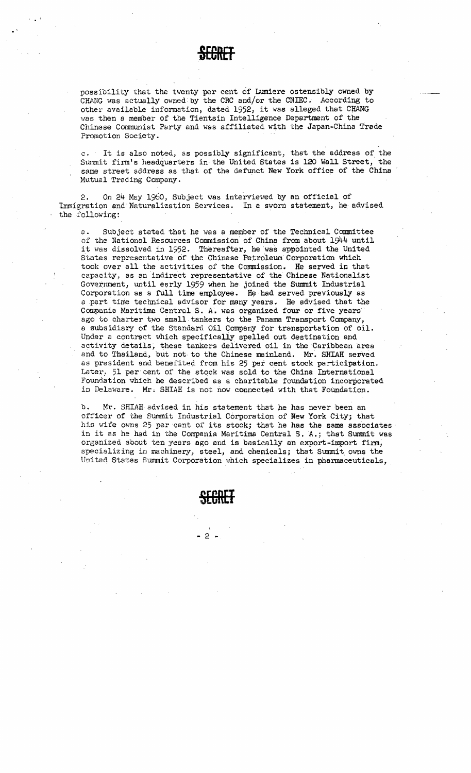**SECRET** 

possibility that the twenty per cent of Lumiere ostensibly owned by CHANG was actually owned by the CRC and/or the CNIEC. According to other available information, dated 1952, it was alleged that CHANG was then a member of the Tientsin Intelligence Department of the Chinese Communist Party and was affiliated with the Japan-China Trade Promotion Society.

c. It is also noted, as possibly significant, that the address of the Summit firm's headquarters in the United States is 120 Wall Street, the same street address as that of the defunct New York office of the China Mutual Trading Company.

2. On  $24$  May 1960, Subject was interviewed by an official of Immigration and Naturalization Services. In a sworn statement, he advised the following:

z. Subject stated that he was a member of the Technical Committee of the National Resources Commission of China from about 1944 until it was dissolved in 1952. Thereafter, he was appointed the United States representative of the Chinese Petroleum Corporation which took over all the activities of the Commission. He served in that capacity, as an indirect representative of the Chinese Nationalist Government, until early 1959 when he joined the Summit Industrial Corporation as a full time employee. He had served previously as a .part time technical advisor for many years. He advised that the Compania Maritima Central S. A. was organized four or five years ago to charter two small tankers to the Panama Transport Company, a subs idiary of. the Standard. Oil Company for transportation of oil. Under a contract which specifically spelled out destination and activity details, these tankers delivered oil in the Caribbean area and to Thailand, but not to the Chinese mainland. Mr. SHIAH served as president and benefited from his 25 per cent stock participation. Later,  $51$  per cent of the stock was sold to the China International Foundation which he described as a charitable foundation incorporated in Delaware. Mr. SHIAH is not now connected with that Foundation.

b. Mr. SHIAH advised in his statement that he has never been an officer of the Summit Industrial Corporation of New York City; that his wife owns 25 per cent of its stock; that he has the same associates in it as he had in the Compania Maritima Central S. A.; that Summit was organized about ten years ago end is basically an export-import firm, specializing in machinery, steel, and chemicals; that Summit owns the United States Summit Corporation which specializes in pharmaceuticals,

**SECRET** 

 $-2 -$